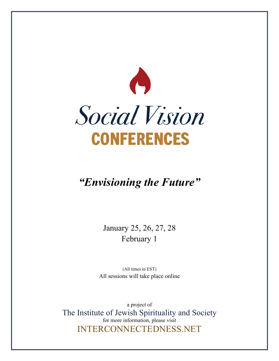

# *"Envisioning the Future"*

January 25, 26, 27, 28 February 1

(All times in EST) All sessions will take place online

a project of The Institute of Jewish Spirituality and Society for more information, please visit INTERCONNECTEDNESS.NET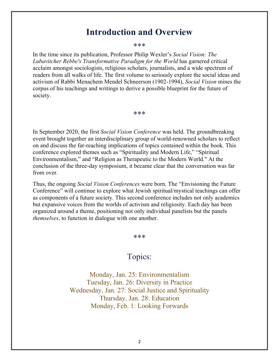## **Introduction and Overview**

\*\*\*

In the time since its publication, Professor Philip Wexler's *Social Vision: The Lubavitcher Rebbe's Transformative Paradigm for the World* has garnered critical acclaim amongst sociologists, religious scholars, journalists, and a wide spectrum of readers from all walks of life. The first volume to seriously explore the social ideas and activism of Rabbi Menachem Mendel Schneerson (1902-1994), *Social Vision* mines the corpus of his teachings and writings to derive a possible blueprint for the future of society.

#### \*\*\*

In September 2020, the first *Social Vision Conference* was held. The groundbreaking event brought together an interdisciplinary group of world-renowned scholars to reflect on and discuss the far-reaching implications of topics contained within the book. This conference explored themes such as "Spirituality and Modern Life," "Spiritual Environmentalism," and "Religion as Therapeutic to the Modern World." At the conclusion of the three-day symposium, it became clear that the conversation was far from over.

Thus, the ongoing *Social Vision Conferences* were born. The "Envisioning the Future Conference" will continue to explore what Jewish spiritual/mystical teachings can offer as components of a future society. This second conference includes not only academics but expansive voices from the worlds of activism and religiosity. Each day has been organized around a theme, positioning not only individual panelists but the panels *themselves*, to function in dialogue with one another.

#### \*\*\*

### Topics:

Monday, Jan. 25: Environmentalism Tuesday, Jan. 26: Diversity in Practice Wednesday, Jan. 27: Social Justice and Spirituality Thursday, Jan. 28: Education Monday, Feb. 1: Looking Forwards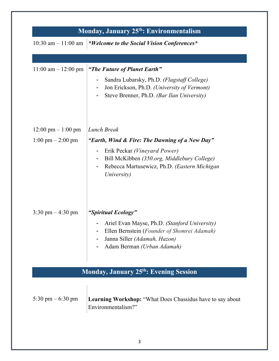| Monday, January 25 <sup>th</sup> : Environmentalism |                                                                                                                                                            |  |
|-----------------------------------------------------|------------------------------------------------------------------------------------------------------------------------------------------------------------|--|
| $10:30$ am $-11:00$ am                              | *Welcome to the Social Vision Conferences*                                                                                                                 |  |
|                                                     |                                                                                                                                                            |  |
| $11:00$ am $- 12:00$ pm                             | "The Future of Planet Earth"<br>Sandra Lubarsky, Ph.D. (Flagstaff College)                                                                                 |  |
|                                                     | Jon Erickson, Ph.D. (University of Vermont)<br>Steve Brenner, Ph.D. (Bar Ilan University)                                                                  |  |
| $12:00 \text{ pm} - 1:00 \text{ pm}$                | <b>Lunch Break</b>                                                                                                                                         |  |
| $1:00 \text{ pm} - 2:00 \text{ pm}$                 | "Earth, Wind & Fire: The Dawning of a New Day"                                                                                                             |  |
|                                                     | Erik Peckar (Vineyard Power)<br>Bill McKibben (350.org, Middlebury College)<br>Rebecca Martusewicz, Ph.D. (Eastern Michigan<br>University)                 |  |
| $3:30 \text{ pm} - 4:30 \text{ pm}$                 | "Spiritual Ecology"                                                                                                                                        |  |
|                                                     | Ariel Evan Mayse, Ph.D. (Stanford University)<br>Ellen Bernstein (Founder of Shomrei Adamah)<br>Janna Siller (Adamah, Hazon)<br>Adam Berman (Urban Adamah) |  |
| <b>Monday, January 25th: Evening Session</b>        |                                                                                                                                                            |  |
| 5:30 pm $-6:30$ pm                                  | <b>Learning Workshop:</b> "What Does Chassidus have to say about<br>Environmentalism?"                                                                     |  |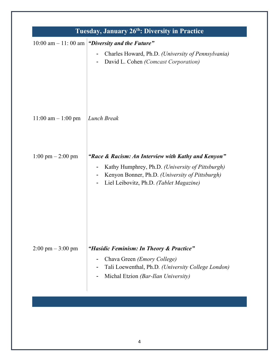|                                     | 10:00 am $-11$ : 00 am   "Diversity and the Future"                                                                                                                        |
|-------------------------------------|----------------------------------------------------------------------------------------------------------------------------------------------------------------------------|
|                                     | Charles Howard, Ph.D. (University of Pennsylvania)<br>David L. Cohen (Comcast Corporation)                                                                                 |
| $11:00$ am $- 1:00$ pm              | Lunch Break                                                                                                                                                                |
| $1:00 \text{ pm} - 2:00 \text{ pm}$ | "Race & Racism: An Interview with Kathy and Kenyon"                                                                                                                        |
|                                     | Kathy Humphrey, Ph.D. (University of Pittsburgh)<br>Kenyon Bonner, Ph.D. (University of Pittsburgh)<br>Liel Leibovitz, Ph.D. (Tablet Magazine)<br>$\overline{\phantom{a}}$ |
| $2:00 \text{ pm} - 3:00 \text{ pm}$ | "Hasidic Feminism: In Theory & Practice"                                                                                                                                   |
|                                     | Chava Green ( <i>Emory College</i> )<br>Tali Loewenthal, Ph.D. (University College London)<br>Michal Etzion (Bar-Ilan University)                                          |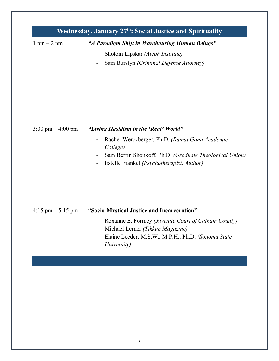| Wednesday, January 27 <sup>th</sup> : Social Justice and Spirituality |                                                                                                                                                                                                             |  |
|-----------------------------------------------------------------------|-------------------------------------------------------------------------------------------------------------------------------------------------------------------------------------------------------------|--|
| $1 \text{ pm} - 2 \text{ pm}$                                         | "A Paradigm Shift in Warehousing Human Beings"<br>Sholom Lipskar (Aleph Institute)<br>Sam Burstyn (Criminal Defense Attorney)                                                                               |  |
| $3:00 \text{ pm} - 4:00 \text{ pm}$                                   | "Living Hasidism in the 'Real' World"<br>Rachel Werczberger, Ph.D. (Ramat Gana Academic<br>College)<br>Sam Berrin Shonkoff, Ph.D. (Graduate Theological Union)<br>Estelle Frankel (Psychotherapist, Author) |  |
| $4:15 \text{ pm} - 5:15 \text{ pm}$                                   | "Socio-Mystical Justice and Incarceration"<br>Roxanne E. Formey (Juvenile Court of Catham County)<br>Michael Lerner (Tikkun Magazine)<br>Elaine Leeder, M.S.W., M.P.H., Ph.D. (Sonoma State<br>University)  |  |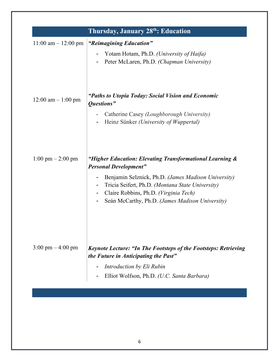| $11:00$ am $-12:00$ pm              | "Reimagining Education"                                                                                 |
|-------------------------------------|---------------------------------------------------------------------------------------------------------|
|                                     |                                                                                                         |
|                                     | Yotam Hotam, Ph.D. (University of Haifa)<br>Peter McLaren, Ph.D. (Chapman University)                   |
|                                     |                                                                                                         |
| $12:00$ am $-1:00$ pm               | "Paths to Utopia Today: Social Vision and Economic<br>Questions"                                        |
|                                     | Catherine Casey (Loughborough University)                                                               |
|                                     | Heinz Sünker (University of Wuppertal)                                                                  |
| $1:00 \text{ pm} - 2:00 \text{ pm}$ | "Higher Education: Elevating Transformational Learning &<br><b>Personal Development"</b>                |
|                                     | Benjamin Selznick, Ph.D. (James Madison University)                                                     |
|                                     | Tricia Seifert, Ph.D. (Montana State University)                                                        |
|                                     | Claire Robbins, Ph.D. (Virginia Tech)<br>Seán McCarthy, Ph.D. (James Madison University)                |
| $3:00 \text{ pm} - 4:00 \text{ pm}$ | Keynote Lecture: "In The Footsteps of the Footsteps: Retrieving<br>the Future in Anticipating the Past" |
|                                     | Introduction by Eli Rubin                                                                               |
|                                     | Elliot Wolfson, Ph.D. (U.C. Santa Barbara)                                                              |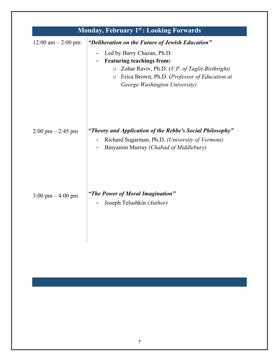| <b>Monday, February 1st: Looking Forwards</b> |                                                                                                                                                                                                                                                                 |  |
|-----------------------------------------------|-----------------------------------------------------------------------------------------------------------------------------------------------------------------------------------------------------------------------------------------------------------------|--|
| 12:00 am $-$ 2:00 pm                          | "Deliberation on the Future of Jewish Education"<br>Led by Barry Chazan, Ph.D.<br>-<br><b>Featuring teachings from:</b><br>O Zohar Raviv, Ph.D. (V.P. of Taglit-Birthright)<br>o Erica Brown, Ph.D. (Professor of Education at<br>George Washington University) |  |
| $2:00 \text{ pm} - 2:45 \text{ pm}$           | "Theory and Application of the Rebbe's Social Philosophy"<br>Richard Sugarman, Ph.D. (University of Vermont)<br>-<br>Binyamin Murray (Chabad of Middlebury)                                                                                                     |  |
| $3:00 \text{ pm} - 4:00 \text{ pm}$           | "The Power of Moral Imagination"<br>Joseph Telushkin (Author)                                                                                                                                                                                                   |  |
|                                               |                                                                                                                                                                                                                                                                 |  |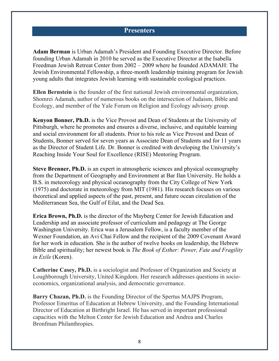### **Presenters**

**Adam Berman** is Urban Adamah's President and Founding Executive Director. Before founding Urban Adamah in 2010 he served as the Executive Director at the Isabella Freedman Jewish Retreat Center from 2002 – 2009 where he founded ADAMAH: The Jewish Environmental Fellowship, a three-month leadership training program for Jewish young adults that integrates Jewish learning with sustainable ecological practices.

**Ellen Bernstein** is the founder of the first national Jewish environmental organization, Shomrei Adamah, author of numerous books on the intersection of Judaism, Bible and Ecology, and member of the Yale Forum on Religion and Ecology advisory group.

**Kenyon Bonner, Ph.D.** is the Vice Provost and Dean of Students at the University of Pittsburgh, where he promotes and ensures a diverse, inclusive, and equitable learning and social environment for all students. Prior to his role as Vice Provost and Dean of Students, Bonner served for seven years as Associate Dean of Students and for 11 years as the Director of Student Life. Dr. Bonner is credited with developing the University's Reaching Inside Your Soul for Excellence (RISE) Mentoring Program.

**Steve Brenner, Ph.D.** is an expert in atmospheric sciences and physical oceanography from the Department of Geography and Environment at Bar Ilan University. He holds a B.S. in meteorology and physical oceanography from the City College of New York (1975) and doctorate in meteorology from MIT (1981). His research focuses on various theoretical and applied aspects of the past, present, and future ocean circulation of the Mediterranean Sea, the Gulf of Eilat, and the Dead Sea.

**Erica Brown, Ph.D.** is the director of the Mayberg Center for Jewish Education and Leadership and an associate professor of curriculum and pedagogy at The George Washington University. Erica was a Jerusalem Fellow, is a faculty member of the Wexner Foundation, an Avi Chai Fellow and the recipient of the 2009 Covenant Award for her work in education. She is the author of twelve books on leadership, the Hebrew Bible and spirituality; her newest book is *The Book of Esther: Power, Fate and Fragility in Exile* (Koren).

**Catherine Casey, Ph.D.** is a sociologist and Professor of Organization and Society at Loughborough University, United Kingdom. Her research addresses questions in socioeconomics, organizational analysis, and democratic governance.

**Barry Chazan, Ph.D.** is the Founding Director of the Spertus MAJPS Program, Professor Emeritus of Education at Hebrew University, and the Founding International Director of Education at Birthright Israel. He has served in important professional capacities with the Melton Center for Jewish Education and Andrea and Charles Bronfman Philanthropies.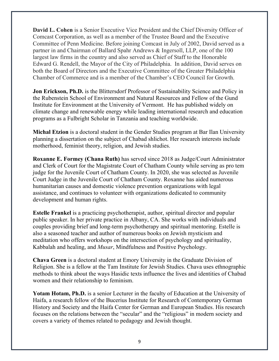**David L. Cohen** is a Senior Executive Vice President and the Chief Diversity Officer of Comcast Corporation, as well as a member of the Trustee Board and the Executive Committee of Penn Medicine. Before joining Comcast in July of 2002, David served as a partner in and Chairman of Ballard Spahr Andrews & Ingersoll, LLP, one of the 100 largest law firms in the country and also served as Chief of Staff to the Honorable Edward G. Rendell, the Mayor of the City of Philadelphia. In addition, David serves on both the Board of Directors and the Executive Committee of the Greater Philadelphia Chamber of Commerce and is a member of the Chamber's CEO Council for Growth.

**Jon Erickson, Ph.D.** is the Blittersdorf Professor of Sustainability Science and Policy in the Rubenstein School of Environment and Natural Resources and Fellow of the Gund Institute for Environment at the University of Vermont. He has published widely on climate change and renewable energy while leading international research and education programs as a Fulbright Scholar in Tanzania and teaching worldwide.

**Michal Etzion** is a doctoral student in the Gender Studies program at Bar Ilan University planning a dissertation on the subject of Chabad shlichot. Her research interests include motherhood, feminist theory, religion, and Jewish studies.

**Roxanne E. Formey (Chana Ruth)** has served since 2018 as Judge/Court Administrator and Clerk of Court for the Magistrate Court of Chatham County while serving as pro tem judge for the Juvenile Court of Chatham County. In 2020, she was selected as Juvenile Court Judge in the Juvenile Court of Chatham County. Roxanne has aided numerous humanitarian causes and domestic violence prevention organizations with legal assistance, and continues to volunteer with organizations dedicated to community development and human rights.

**Estelle Frankel** is a practicing psychotherapist, author, spiritual director and popular public speaker. In her private practice in Albany, CA. She works with individuals and couples providing brief and long-term psychotherapy and spiritual mentoring. Estelle is also a seasoned teacher and author of numerous books on Jewish mysticism and meditation who offers workshops on the intersection of psychology and spirituality, Kabbalah and healing, and *Musar*, Mindfulness and Positive Psychology.

**Chava Green** is a doctoral student at Emory University in the Graduate Division of Religion. She is a fellow at the Tam Institute for Jewish Studies. Chava uses ethnographic methods to think about the ways Hasidic texts influence the lives and identities of Chabad women and their relationship to feminism.

**Yotam Hotam, Ph.D.** is a senior Lecturer in the faculty of Education at the University of Haifa, a research fellow of the Bucerius Institute for Research of Contemporary German History and Society and the Haifa Center for German and European Studies. His research focuses on the relations between the "secular" and the "religious" in modern society and covers a variety of themes related to pedagogy and Jewish thought.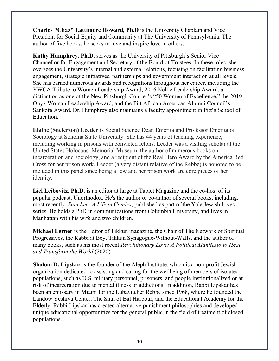**Charles "Chaz" Lattimore Howard, Ph.D** is the University Chaplain and Vice President for Social Equity and Community at The University of Pennsylvania. The author of five books, he seeks to love and inspire love in others.

**Kathy Humphrey, Ph.D.** serves as the University of Pittsburgh's Senior Vice Chancellor for Engagement and Secretary of the Board of Trustees. In these roles, she oversees the University's internal and external relations, focusing on facilitating business engagement, strategic initiatives, partnerships and government interaction at all levels. She has earned numerous awards and recognitions throughout her career, including the YWCA Tribute to Women Leadership Award, 2016 Nellie Leadership Award, a distinction as one of the New Pittsburgh Courier's "50 Women of Excellence," the 2019 Onyx Woman Leadership Award, and the Pitt African American Alumni Council's Sankofa Award. Dr. Humphrey also maintains a faculty appointment in Pitt's School of Education.

**Elaine (Sneierson) Leeder** is Social Science Dean Emerita and Professor Emerita of Sociology at Sonoma State University. She has 44 years of teaching experience, including working in prisons with convicted felons. Leeder was a visiting scholar at the United States Holocaust Memorial Museum, the author of numerous books on incarceration and sociology, and a recipient of the Real Hero Award by the America Red Cross for her prison work. Leeder (a very distant relative of the Rebbe) is honored to be included in this panel since being a Jew and her prison work are core pieces of her identity.

**Liel Leibovitz, Ph.D.** is an editor at large at Tablet Magazine and the co-host of its popular podcast, Unorthodox. He's the author or co-author of several books, including, most recently, *Stan Lee: A Life in Comics*, published as part of the Yale Jewish Lives series. He holds a PhD in communications from Columbia University, and lives in Manhattan with his wife and two children.

**Michael Lerner** is the Editor of Tikkun magazine, the Chair of The Network of Spiritual Progressives, the Rabbi at Beyt Tikkun Synagogue-Without-Walls, and the author of many books, such as his most recent *Revolutionary Love: A Political Manifesto to Heal and Transform the World* (2020).

**Sholom D. Lipskar** is the founder of the Aleph Institute, which is a non-profit Jewish organization dedicated to assisting and caring for the wellbeing of members of isolated populations, such as U.S. military personnel, prisoners, and people institutionalized or at risk of incarceration due to mental illness or addictions. In addition, Rabbi Lipskar has been an emissary in Miami for the Lubavitcher Rebbe since 1968, where he founded the Landow Yeshiva Center, The Shul of Bal Harbour, and the Educational Academy for the Elderly. Rabbi Lipskar has created alternative punishment philosophies and developed unique educational opportunities for the general public in the field of treatment of closed populations.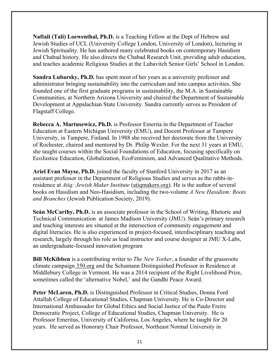**Naftali (Tali) Loewenthal, Ph.D.** is a Teaching Fellow at the Dept of Hebrew and Jewish Studies of UCL (University College London, University of London), lecturing in Jewish Spirituality. He has authored many celebrated books on contemporary Hasidism and Chabad history. He also directs the Chabad Research Unit, providing adult education, and teaches academic Religious Studies at the Lubavitch Senior Girls' School in London.

**Sandra Lubarsky, Ph.D.** has spent most of her years as a university professor and administrator bringing sustainability into the curriculum and into campus activities. She founded one of the first graduate programs in sustainability, the M.A. in Sustainable Communities, at Northern Arizona University and chaired the Department of Sustainable Development at Appalachian State University. Sandra currently serves as President of Flagstaff College.

**Rebecca A. Martusewicz, Ph.D.** is Professor Emerita in the Department of Teacher Education at Eastern Michigan University (EMU), and Docent Professor at Tampere University, in Tampere, Finland. In 1988 she received her doctorate from the University of Rochester, chaired and mentored by Dr. Philip Wexler. For the next 31 years at EMU, she taught courses within the Social Foundations of Education, focusing specifically on EcoJustice Education, Globalization, EcoFeminism, and Advanced Qualitative Methods.

**Ariel Evan Mayse, Ph.D.** joined the faculty of Stanford University in 2017 as an assistant professor in the Department of Religious Studies and serves as the rabbi-inresidence at *Atiq: Jewish Maker Institute* (atiqmakers.org). He is the author of several books on Hasidism and Neo-Hasidism, including the two-volume *A New Hasidism: Roots and Branches* (Jewish Publication Society, 2019).

**Seán McCarthy, Ph.D.** is an associate professor in the School of Writing, Rhetoric and Technical Communication at James Madison University (JMU). Seán's primary research and teaching interests are situated at the intersection of community engagement and digital literacies. He is also experienced in project-focused, interdisciplinary teaching and research, largely through his role as lead instructor and course designer at JMU X-Labs, an undergraduate-focused innovation program

**Bill McKibben** is a contributing writer to *The New Yorker*, a founder of the grassroots climate campaign 350.org and the Schumann Distinguished Professor in Residence at Middlebury College in Vermont. He was a 2014 recipient of the Right Livelihood Prize, sometimes called the 'alternative Nobel,' and the Gandhi Peace Award.

**Peter McLaren, Ph.D.** is Distinguished Professor in Critical Studies, Donna Ford Attallah College of Educational Studies, Chapman University. He is Co-Director and International Ambassador for Global Ethics and Social Justice of the Paulo Freire Democratic Project, College of Educational Studies, Chapman University. He is Professor Emeritus, University of California, Los Angeles, where he taught for 20 years. He served as Honorary Chair Professor, Northeast Normal University in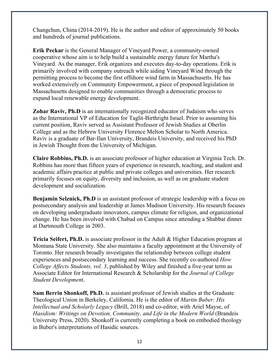Changchun, China (2014-2019). He is the author and editor of approximately 50 books and hundreds of journal publications.

**Erik Peckar** is the General Manager of Vineyard Power, a community-owned cooperative whose aim is to help build a sustainable energy future for Martha's Vineyard. As the manager, Erik organizes and executes day-to-day operations. Erik is primarily involved with company outreach while aiding Vineyard Wind through the permitting process to become the first offshore wind farm in Massachusetts. He has worked extensively on Community Empowerment, a piece of proposed legislation in Massachusetts designed to enable communities through a democratic process to expand local renewable energy development.

**Zohar Raviv, Ph.D** is an internationally recognized educator of Judaism who serves as the International VP of Education for Taglit-Birthright Israel. Prior to assuming his current position, Raviv served as Assistant Professor of Jewish Studies at Oberlin College and as the Hebrew University Florence Melton Scholar to North America. Raviv is a graduate of Bar-Ilan University, Brandeis University, and received his PhD in Jewish Thought from the University of Michigan.

**Claire Robbins, Ph.D.** is an associate professor of higher education at Virginia Tech. Dr. Robbins has more than fifteen years of experience in research, teaching, and student and academic affairs practice at public and private colleges and universities. Her research primarily focuses on equity, diversity and inclusion, as well as on graduate student development and socialization.

**Benjamin Selznick, Ph.D** is an assistant professor of strategic leadership with a focus on postsecondary analysis and leadership at James Madison University. His research focuses on developing undergraduate innovators, campus climate for religion, and organizational change. He has been involved with Chabad on Campus since attending a Shabbat dinner at Dartmouth College in 2003.

**Tricia Seifert, Ph.D.** is associate professor in the Adult & Higher Education program at Montana State University. She also maintains a faculty appointment at the University of Toronto. Her research broadly investigates the relationship between college student experiences and postsecondary learning and success. She recently co-authored *How College Affects Students, vol. 3*, published by Wiley and finished a five-year term as Associate Editor for International Research & Scholarship for the *Journal of College Student Developmen*t.

**Sam Berrin Shonkoff, Ph.D.** is assistant professor of Jewish studies at the Graduate Theological Union in Berkeley, California. He is the editor of *Martin Buber: His Intellectual and Scholarly Legacy* (Brill, 2018) and co-editor, with Ariel Mayse, of *Hasidism: Writings on Devotion, Community, and Life in the Modern World (Brandeis*) University Press, 2020). Shonkoff is currently completing a book on embodied theology in Buber's interpretations of Hasidic sources.